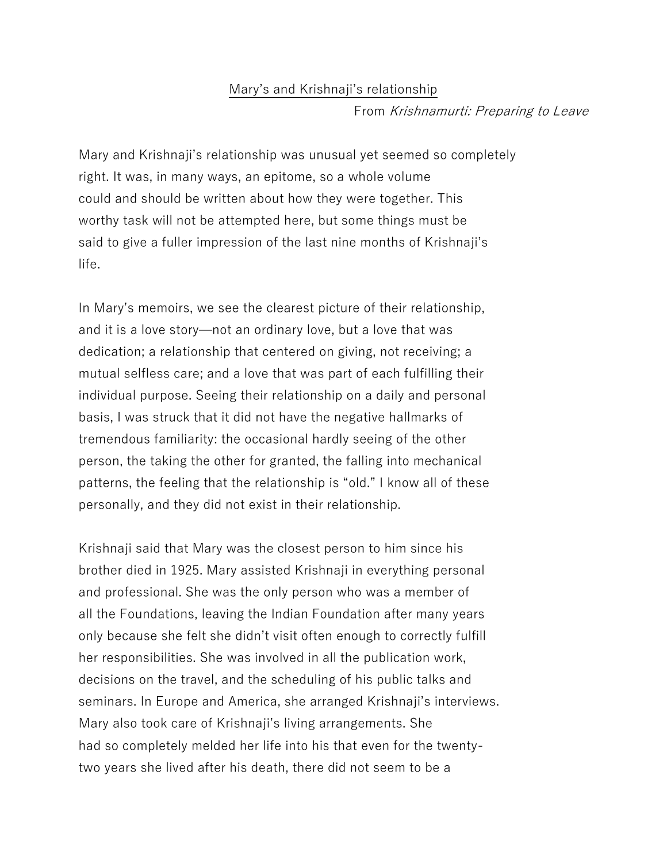## Mary's and Krishnaji's relationship From Krishnamurti: Preparing to Leave

Mary and Krishnaji's relationship was unusual yet seemed so completely right. It was, in many ways, an epitome, so a whole volume could and should be written about how they were together. This worthy task will not be attempted here, but some things must be said to give a fuller impression of the last nine months of Krishnaji's life.

In Mary's memoirs, we see the clearest picture of their relationship, and it is a love story—not an ordinary love, but a love that was dedication; a relationship that centered on giving, not receiving; a mutual selfless care; and a love that was part of each fulfilling their individual purpose. Seeing their relationship on a daily and personal basis, I was struck that it did not have the negative hallmarks of tremendous familiarity: the occasional hardly seeing of the other person, the taking the other for granted, the falling into mechanical patterns, the feeling that the relationship is "old." I know all of these personally, and they did not exist in their relationship.

Krishnaji said that Mary was the closest person to him since his brother died in 1925. Mary assisted Krishnaji in everything personal and professional. She was the only person who was a member of all the Foundations, leaving the Indian Foundation after many years only because she felt she didn't visit often enough to correctly fulfill her responsibilities. She was involved in all the publication work, decisions on the travel, and the scheduling of his public talks and seminars. In Europe and America, she arranged Krishnaji's interviews. Mary also took care of Krishnaji's living arrangements. She had so completely melded her life into his that even for the twentytwo years she lived after his death, there did not seem to be a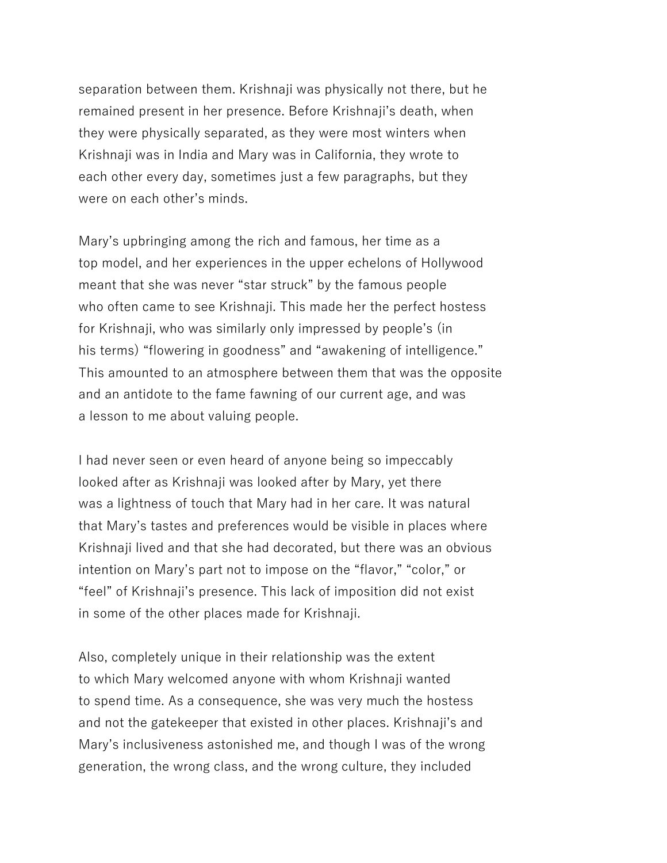separation between them. Krishnaji was physically not there, but he remained present in her presence. Before Krishnaji's death, when they were physically separated, as they were most winters when Krishnaji was in India and Mary was in California, they wrote to each other every day, sometimes just a few paragraphs, but they were on each other's minds.

Mary's upbringing among the rich and famous, her time as a top model, and her experiences in the upper echelons of Hollywood meant that she was never "star struck" by the famous people who often came to see Krishnaji. This made her the perfect hostess for Krishnaji, who was similarly only impressed by people's (in his terms) "flowering in goodness" and "awakening of intelligence." This amounted to an atmosphere between them that was the opposite and an antidote to the fame fawning of our current age, and was a lesson to me about valuing people.

I had never seen or even heard of anyone being so impeccably looked after as Krishnaji was looked after by Mary, yet there was a lightness of touch that Mary had in her care. It was natural that Mary's tastes and preferences would be visible in places where Krishnaji lived and that she had decorated, but there was an obvious intention on Mary's part not to impose on the "flavor," "color," or "feel" of Krishnaji's presence. This lack of imposition did not exist in some of the other places made for Krishnaji.

Also, completely unique in their relationship was the extent to which Mary welcomed anyone with whom Krishnaji wanted to spend time. As a consequence, she was very much the hostess and not the gatekeeper that existed in other places. Krishnaji's and Mary's inclusiveness astonished me, and though I was of the wrong generation, the wrong class, and the wrong culture, they included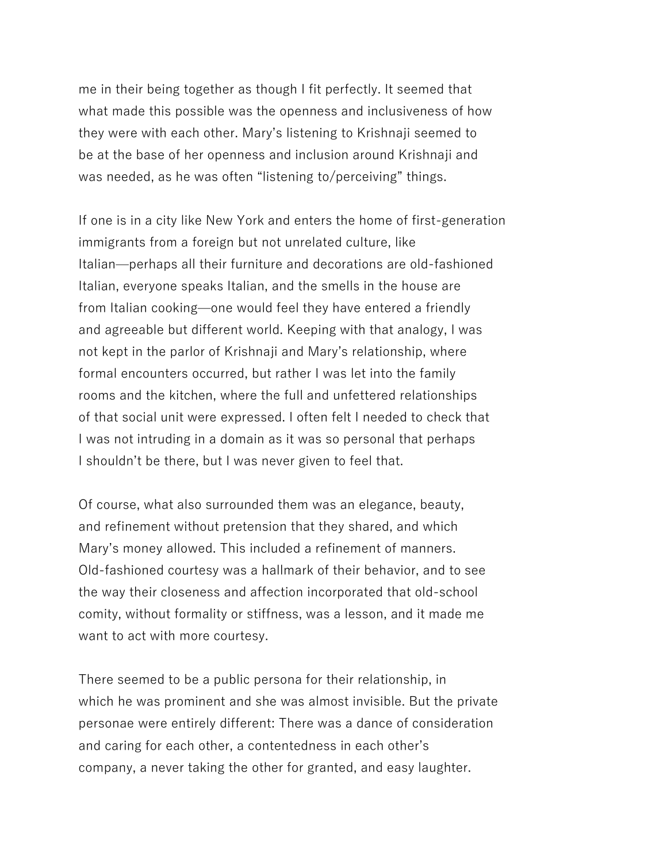me in their being together as though I fit perfectly. It seemed that what made this possible was the openness and inclusiveness of how they were with each other. Mary's listening to Krishnaji seemed to be at the base of her openness and inclusion around Krishnaji and was needed, as he was often "listening to/perceiving" things.

If one is in a city like New York and enters the home of first-generation immigrants from a foreign but not unrelated culture, like Italian—perhaps all their furniture and decorations are old-fashioned Italian, everyone speaks Italian, and the smells in the house are from Italian cooking—one would feel they have entered a friendly and agreeable but different world. Keeping with that analogy, I was not kept in the parlor of Krishnaji and Mary's relationship, where formal encounters occurred, but rather I was let into the family rooms and the kitchen, where the full and unfettered relationships of that social unit were expressed. I often felt I needed to check that I was not intruding in a domain as it was so personal that perhaps I shouldn't be there, but I was never given to feel that.

Of course, what also surrounded them was an elegance, beauty, and refinement without pretension that they shared, and which Mary's money allowed. This included a refinement of manners. Old-fashioned courtesy was a hallmark of their behavior, and to see the way their closeness and affection incorporated that old-school comity, without formality or stiffness, was a lesson, and it made me want to act with more courtesy.

There seemed to be a public persona for their relationship, in which he was prominent and she was almost invisible. But the private personae were entirely different: There was a dance of consideration and caring for each other, a contentedness in each other's company, a never taking the other for granted, and easy laughter.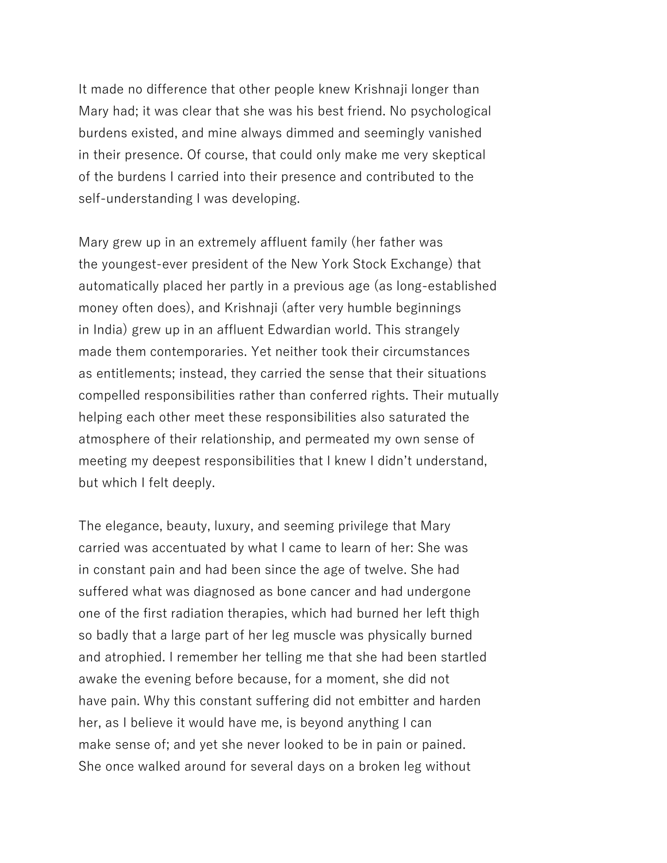It made no difference that other people knew Krishnaji longer than Mary had; it was clear that she was his best friend. No psychological burdens existed, and mine always dimmed and seemingly vanished in their presence. Of course, that could only make me very skeptical of the burdens I carried into their presence and contributed to the self-understanding I was developing.

Mary grew up in an extremely affluent family (her father was the youngest-ever president of the New York Stock Exchange) that automatically placed her partly in a previous age (as long-established money often does), and Krishnaji (after very humble beginnings in India) grew up in an affluent Edwardian world. This strangely made them contemporaries. Yet neither took their circumstances as entitlements; instead, they carried the sense that their situations compelled responsibilities rather than conferred rights. Their mutually helping each other meet these responsibilities also saturated the atmosphere of their relationship, and permeated my own sense of meeting my deepest responsibilities that I knew I didn't understand, but which I felt deeply.

The elegance, beauty, luxury, and seeming privilege that Mary carried was accentuated by what I came to learn of her: She was in constant pain and had been since the age of twelve. She had suffered what was diagnosed as bone cancer and had undergone one of the first radiation therapies, which had burned her left thigh so badly that a large part of her leg muscle was physically burned and atrophied. I remember her telling me that she had been startled awake the evening before because, for a moment, she did not have pain. Why this constant suffering did not embitter and harden her, as I believe it would have me, is beyond anything I can make sense of; and yet she never looked to be in pain or pained. She once walked around for several days on a broken leg without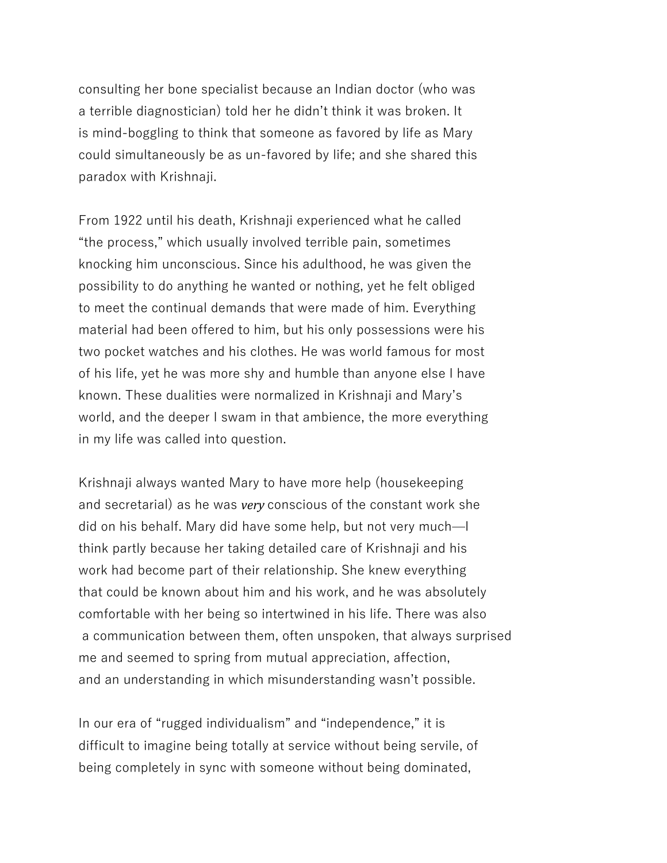consulting her bone specialist because an Indian doctor (who was a terrible diagnostician) told her he didn't think it was broken. It is mind-boggling to think that someone as favored by life as Mary could simultaneously be as un-favored by life; and she shared this paradox with Krishnaji.

From 1922 until his death, Krishnaji experienced what he called "the process," which usually involved terrible pain, sometimes knocking him unconscious. Since his adulthood, he was given the possibility to do anything he wanted or nothing, yet he felt obliged to meet the continual demands that were made of him. Everything material had been offered to him, but his only possessions were his two pocket watches and his clothes. He was world famous for most of his life, yet he was more shy and humble than anyone else I have known. These dualities were normalized in Krishnaji and Mary's world, and the deeper I swam in that ambience, the more everything in my life was called into question.

Krishnaji always wanted Mary to have more help (housekeeping and secretarial) as he was *very* conscious of the constant work she did on his behalf. Mary did have some help, but not very much—I think partly because her taking detailed care of Krishnaji and his work had become part of their relationship. She knew everything that could be known about him and his work, and he was absolutely comfortable with her being so intertwined in his life. There was also a communication between them, often unspoken, that always surprised me and seemed to spring from mutual appreciation, affection, and an understanding in which misunderstanding wasn't possible.

In our era of "rugged individualism" and "independence," it is difficult to imagine being totally at service without being servile, of being completely in sync with someone without being dominated,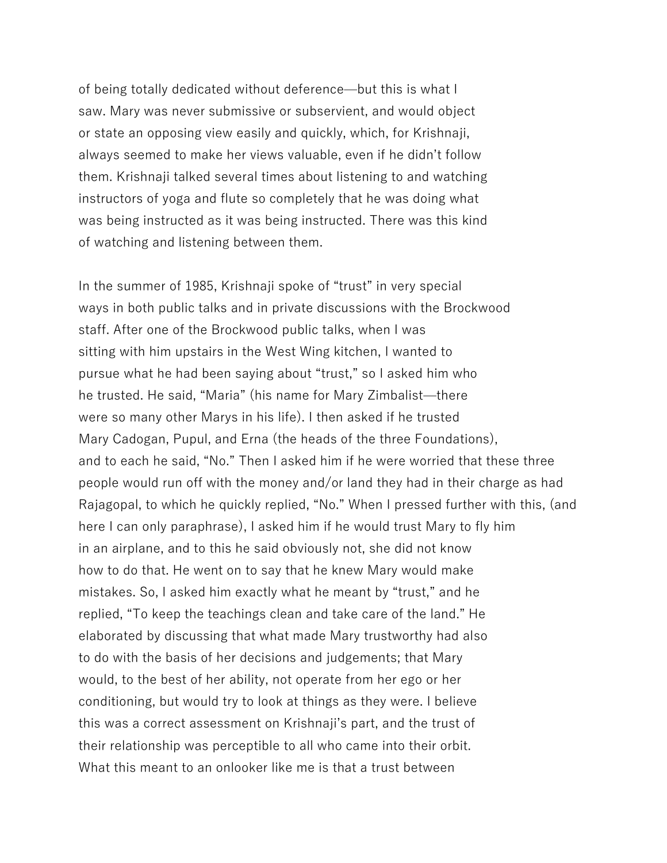of being totally dedicated without deference—but this is what I saw. Mary was never submissive or subservient, and would object or state an opposing view easily and quickly, which, for Krishnaji, always seemed to make her views valuable, even if he didn't follow them. Krishnaji talked several times about listening to and watching instructors of yoga and flute so completely that he was doing what was being instructed as it was being instructed. There was this kind of watching and listening between them.

In the summer of 1985, Krishnaji spoke of "trust" in very special ways in both public talks and in private discussions with the Brockwood staff. After one of the Brockwood public talks, when I was sitting with him upstairs in the West Wing kitchen, I wanted to pursue what he had been saying about "trust," so I asked him who he trusted. He said, "Maria" (his name for Mary Zimbalist—there were so many other Marys in his life). I then asked if he trusted Mary Cadogan, Pupul, and Erna (the heads of the three Foundations), and to each he said, "No." Then I asked him if he were worried that these three people would run off with the money and/or land they had in their charge as had Rajagopal, to which he quickly replied, "No." When I pressed further with this, (and here I can only paraphrase), I asked him if he would trust Mary to fly him in an airplane, and to this he said obviously not, she did not know how to do that. He went on to say that he knew Mary would make mistakes. So, I asked him exactly what he meant by "trust," and he replied, "To keep the teachings clean and take care of the land." He elaborated by discussing that what made Mary trustworthy had also to do with the basis of her decisions and judgements; that Mary would, to the best of her ability, not operate from her ego or her conditioning, but would try to look at things as they were. I believe this was a correct assessment on Krishnaji's part, and the trust of their relationship was perceptible to all who came into their orbit. What this meant to an onlooker like me is that a trust between